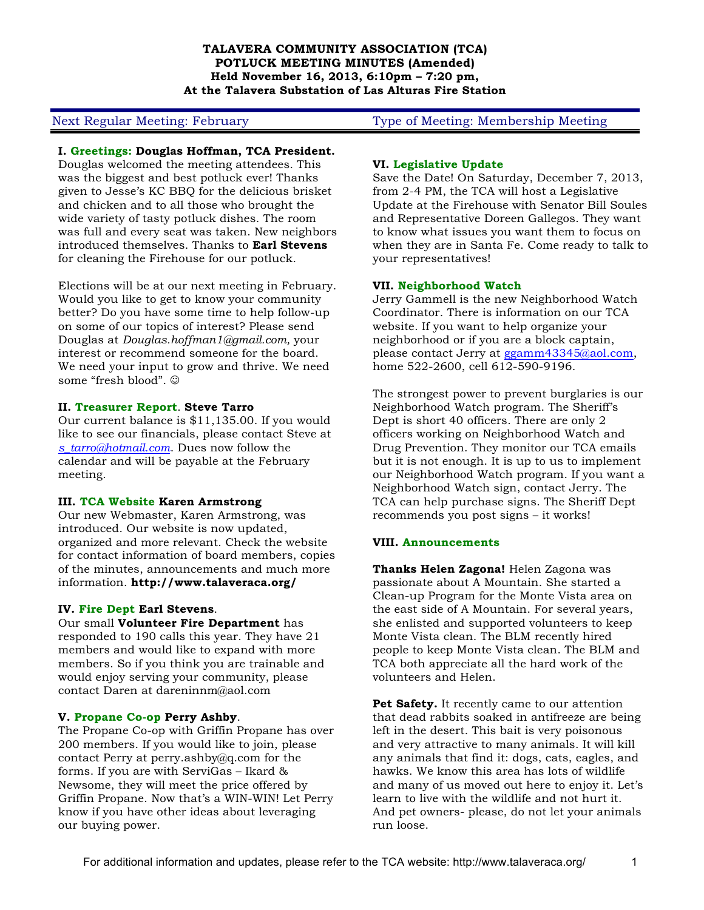### **TALAVERA COMMUNITY ASSOCIATION (TCA) POTLUCK MEETING MINUTES (Amended) Held November 16, 2013, 6:10pm – 7:20 pm, At the Talavera Substation of Las Alturas Fire Station**

### **I. Greetings: Douglas Hoffman, TCA President.**

Douglas welcomed the meeting attendees. This was the biggest and best potluck ever! Thanks given to Jesse's KC BBQ for the delicious brisket and chicken and to all those who brought the wide variety of tasty potluck dishes. The room was full and every seat was taken. New neighbors introduced themselves. Thanks to **Earl Stevens** for cleaning the Firehouse for our potluck.

Elections will be at our next meeting in February. Would you like to get to know your community better? Do you have some time to help follow-up on some of our topics of interest? Please send Douglas at *Douglas.hoffman1@gmail.com,* your interest or recommend someone for the board. We need your input to grow and thrive. We need some "fresh blood".  $©$ 

#### **II. Treasurer Report**. **Steve Tarro**

Our current balance is \$11,135.00. If you would like to see our financials, please contact Steve at *s\_tarro@hotmail.com*. Dues now follow the calendar and will be payable at the February meeting.

# **III. TCA Website Karen Armstrong**

Our new Webmaster, Karen Armstrong, was introduced. Our website is now updated, organized and more relevant. Check the website for contact information of board members, copies of the minutes, announcements and much more information. **http://www.talaveraca.org/**

# **IV. Fire Dept Earl Stevens**.

Our small **Volunteer Fire Department** has responded to 190 calls this year. They have 21 members and would like to expand with more members. So if you think you are trainable and would enjoy serving your community, please contact Daren at dareninnm@aol.com

# **V. Propane Co-op Perry Ashby**.

The Propane Co-op with Griffin Propane has over 200 members. If you would like to join, please contact Perry at perry.ashby@q.com for the forms. If you are with ServiGas – Ikard & Newsome, they will meet the price offered by Griffin Propane. Now that's a WIN-WIN! Let Perry know if you have other ideas about leveraging our buying power.

# Next Regular Meeting: February Type of Meeting: Membership Meeting

### **VI. Legislative Update**

Save the Date! On Saturday, December 7, 2013, from 2-4 PM, the TCA will host a Legislative Update at the Firehouse with Senator Bill Soules and Representative Doreen Gallegos. They want to know what issues you want them to focus on when they are in Santa Fe. Come ready to talk to your representatives!

#### **VII. Neighborhood Watch**

Jerry Gammell is the new Neighborhood Watch Coordinator. There is information on our TCA website. If you want to help organize your neighborhood or if you are a block captain, please contact Jerry at ggamm43345@aol.com, home 522-2600, cell 612-590-9196.

The strongest power to prevent burglaries is our Neighborhood Watch program. The Sheriff's Dept is short 40 officers. There are only 2 officers working on Neighborhood Watch and Drug Prevention. They monitor our TCA emails but it is not enough. It is up to us to implement our Neighborhood Watch program. If you want a Neighborhood Watch sign, contact Jerry. The TCA can help purchase signs. The Sheriff Dept recommends you post signs – it works!

# **VIII. Announcements**

**Thanks Helen Zagona!** Helen Zagona was passionate about A Mountain. She started a Clean-up Program for the Monte Vista area on the east side of A Mountain. For several years, she enlisted and supported volunteers to keep Monte Vista clean. The BLM recently hired people to keep Monte Vista clean. The BLM and TCA both appreciate all the hard work of the volunteers and Helen.

**Pet Safety.** It recently came to our attention that dead rabbits soaked in antifreeze are being left in the desert. This bait is very poisonous and very attractive to many animals. It will kill any animals that find it: dogs, cats, eagles, and hawks. We know this area has lots of wildlife and many of us moved out here to enjoy it. Let's learn to live with the wildlife and not hurt it. And pet owners- please, do not let your animals run loose.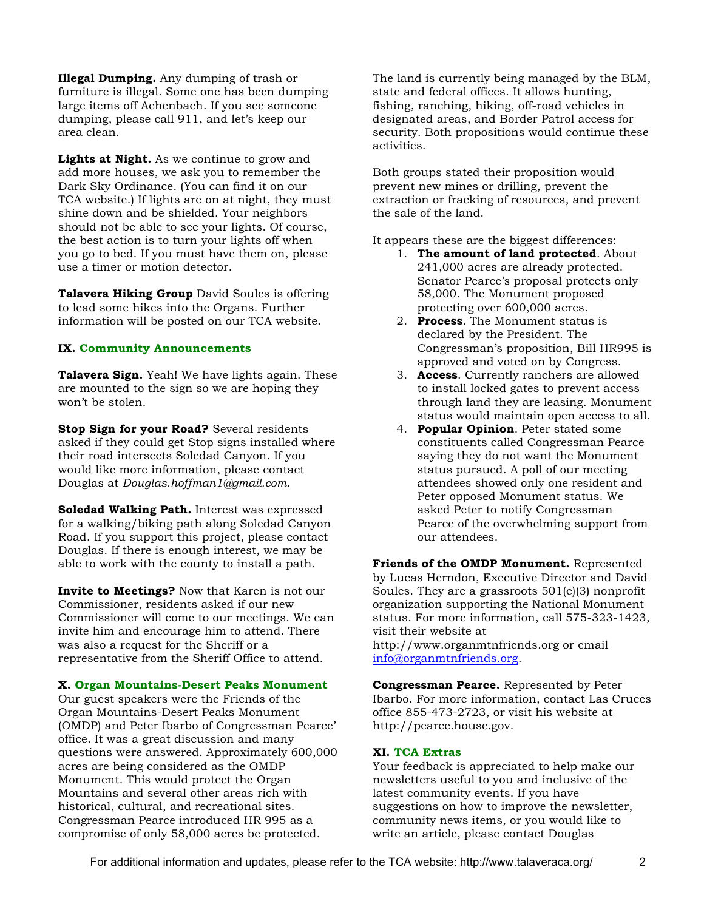**Illegal Dumping.** Any dumping of trash or furniture is illegal. Some one has been dumping large items off Achenbach. If you see someone dumping, please call 911, and let's keep our area clean.

**Lights at Night.** As we continue to grow and add more houses, we ask you to remember the Dark Sky Ordinance. (You can find it on our TCA website.) If lights are on at night, they must shine down and be shielded. Your neighbors should not be able to see your lights. Of course, the best action is to turn your lights off when you go to bed. If you must have them on, please use a timer or motion detector.

**Talavera Hiking Group** David Soules is offering to lead some hikes into the Organs. Further information will be posted on our TCA website.

# **IX. Community Announcements**

**Talavera Sign.** Yeah! We have lights again. These are mounted to the sign so we are hoping they won't be stolen.

**Stop Sign for your Road?** Several residents asked if they could get Stop signs installed where their road intersects Soledad Canyon. If you would like more information, please contact Douglas at *Douglas.hoffman1@gmail.com.*

**Soledad Walking Path.** Interest was expressed for a walking/biking path along Soledad Canyon Road. If you support this project, please contact Douglas. If there is enough interest, we may be able to work with the county to install a path.

**Invite to Meetings?** Now that Karen is not our Commissioner, residents asked if our new Commissioner will come to our meetings. We can invite him and encourage him to attend. There was also a request for the Sheriff or a representative from the Sheriff Office to attend.

# **X. Organ Mountains-Desert Peaks Monument**

Our guest speakers were the Friends of the Organ Mountains-Desert Peaks Monument (OMDP) and Peter Ibarbo of Congressman Pearce' office. It was a great discussion and many questions were answered. Approximately 600,000 acres are being considered as the OMDP Monument. This would protect the Organ Mountains and several other areas rich with historical, cultural, and recreational sites. Congressman Pearce introduced HR 995 as a compromise of only 58,000 acres be protected.

The land is currently being managed by the BLM, state and federal offices. It allows hunting, fishing, ranching, hiking, off-road vehicles in designated areas, and Border Patrol access for security. Both propositions would continue these activities.

Both groups stated their proposition would prevent new mines or drilling, prevent the extraction or fracking of resources, and prevent the sale of the land.

It appears these are the biggest differences:

- 1. **The amount of land protected**. About 241,000 acres are already protected. Senator Pearce's proposal protects only 58,000. The Monument proposed protecting over 600,000 acres.
- 2. **Process**. The Monument status is declared by the President. The Congressman's proposition, Bill HR995 is approved and voted on by Congress.
- 3. **Access**. Currently ranchers are allowed to install locked gates to prevent access through land they are leasing. Monument status would maintain open access to all.
- 4. **Popular Opinion**. Peter stated some constituents called Congressman Pearce saying they do not want the Monument status pursued. A poll of our meeting attendees showed only one resident and Peter opposed Monument status. We asked Peter to notify Congressman Pearce of the overwhelming support from our attendees.

**Friends of the OMDP Monument.** Represented by Lucas Herndon, Executive Director and David Soules. They are a grassroots 501(c)(3) nonprofit organization supporting the National Monument status. For more information, call 575-323-1423, visit their website at

http://www.organmtnfriends.org or email info@organmtnfriends.org.

**Congressman Pearce.** Represented by Peter Ibarbo. For more information, contact Las Cruces office 855-473-2723, or visit his website at http://pearce.house.gov.

# **XI. TCA Extras**

Your feedback is appreciated to help make our newsletters useful to you and inclusive of the latest community events. If you have suggestions on how to improve the newsletter, community news items, or you would like to write an article, please contact Douglas